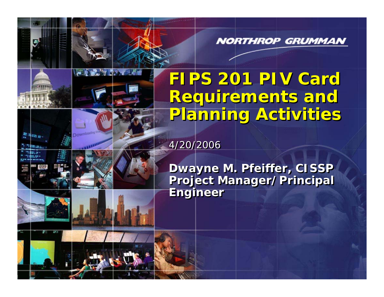**NORTHROP GRUMMAN** 

# **FIPS 201 PIV Card FIPS 201 PIV Card Requirements and Requirements and Planning Activities Planning Activities**

4/20/2006

**And SAA CALIF** 

**Dwayne M. Pfeiffer, CISSP Dwayne M. Pfeiffer, CISSP Project Manager/Principal Project Manager/Principal Engineer Engineer**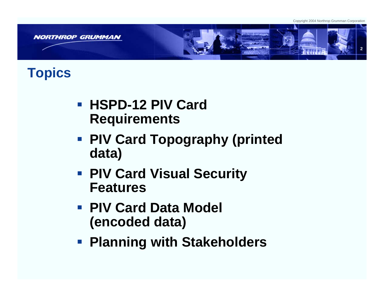Copyright 2004 Northrop Grumman Corporation



### **Topics**

- **HSPD-12 PIV Card Requirements**
- **PIV Card Topography (printed data)**
- **PIV Card Visual Security Features**
- **PIV Card Data Model (encoded data)**
- **Planning with Stakeholders**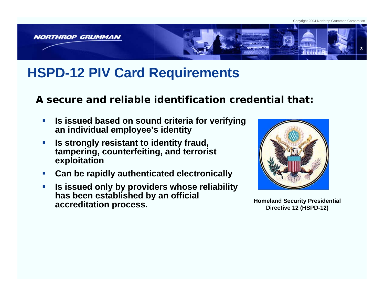

## **HSPD-12 PIV Card Requirements**

**A secure and reliable identification credential that:**

- $\mathcal{L}_{\mathcal{A}}$  **Is issued based on sound criteria for verifying an individual employee's identity**
- $\mathcal{C}$  **Is strongly resistant to identity fraud, tampering, counterfeiting, and terrorist exploitation**
- $\mathcal{C}$ **Can be rapidly authenticated electronically**
- $\overline{\phantom{a}}$  **Is issued only by providers whose reliability has been established by an official accreditation process. Accreditation process. Homeland Security Presidential accreditation process.**

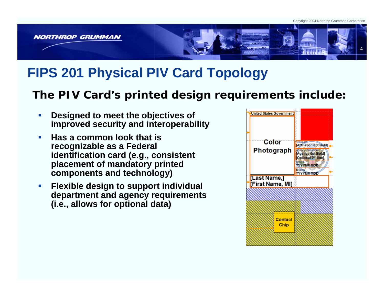

## **FIPS 201 Physical PIV Card Topology**

#### **The PIV Card's printed design requirements include:**

- Г **Designed to meet the objectives of improved security and interoperability**
- × **Has a common look that is recognizable as a Federal identification card (e.g., consistent placement of mandatory printed components and technology)**
- $\mathcal{L}$  **Flexible design to support individual department and agency requirements (i.e., allows for optional data)**

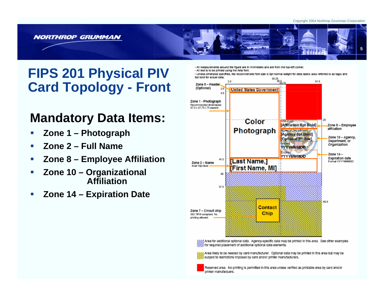Copyright 2004 Northrop Grumman Corporation



### **FIPS 201 Physical PIV Card Topology - Front**

#### **Mandatory Data Items:**

- П **Zone 1 – Photograph**
- П **Zone 2 – Full Name**
- П **Zone 8 – Employee Affiliation**
- П **Zone 10 –Organizational Affiliation**
- П **Zone 14 – Expiration Date**

- All measurements around the floure are in millimeters and are from the top-left corner.

- All text is to be printed using the Arial font.

- Unless otherwise specified, the recommended font size is Sot normal weight for data labels (also referred to as tags) and **Got bold for actual data** 90.95



N, Area for additional optional data. Agency-specific data may be printed in this area. See other examples for required placement of additional optional data elements.

Area likely to be needed by card manufacturer. Optional data may be printed in this area but may be subject to restrictions imposed by card and/or printer manufacturers.

Reserved area. No printing is permitted in this area unless verified as printable area by card and/or printer manufactuers.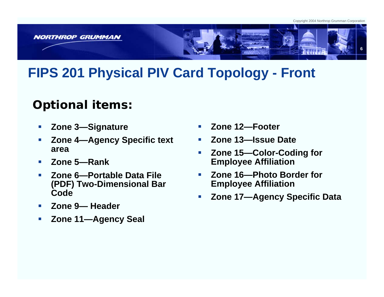

## **FIPS 201 Physical PIV Card Topology - Front**

#### **Optional items:**

- $\mathcal{L}$ **Zone 3—Signature**
- $\mathcal{C}$  **Zone 4—Agency Specific text area**
- **COL Zone 5—Rank**
- **COL Zone 6—Portable Data File (PDF) Two-Dimensional B ar Code**
- $\mathcal{L}_{\mathcal{A}}$ **Zone 9— Header**
- $\mathcal{L}_{\mathcal{A}}$ **Zone 11—Agency Seal**
- П **Zone 12—Footer**
- П **Zone 13—Issue Date**
- П **Zone 15—Color-Coding for Employee Affiliation**
- П **Zone 16—Photo Border for Employee Affiliation**
- П **Zone 17—Agency Specific Data**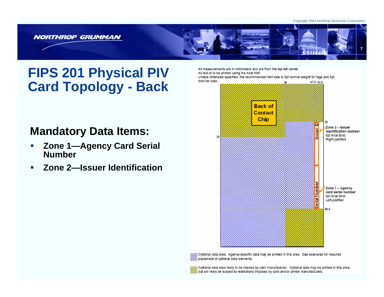



## **FIPS 201 Physical PIV Card Topology - Back**

#### **Mandatory Data Items:**

- П **Zone 1—Agency Card Serial Number**
- m. **Zone 2—Issuer Identification**

All measurements are in millimeters and are from the top-left corner. All text is to be printed using the Arial font. Unless otherwise specified, the recommended font size is 5pt normal weight for tags and 6pt bold for data. 47.5 51.5 34



Optional data area. Agency-specific data may be printed in this area. See examples for required placement of optional data elements.

Optional data area likely to be needed by card manufacturer. Optional data may be printed in this area, but will likely be subject to restrictions imposed by card and/or printer manufacturers.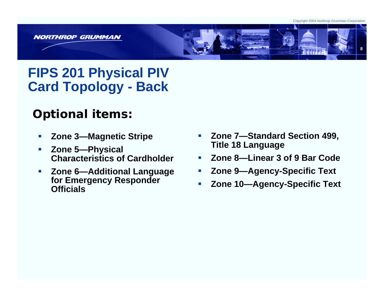Copyright 2004 Northrop Grumman Corporation



## **FIPS 201 Physical PIV Card Topology - Back**

#### **Optional items:**

- $\mathcal{L}_{\mathcal{A}}$ **Zone 3—Magnetic Stripe**
- $\mathcal{L}_{\mathcal{A}}$  **Zone 5—Physical Characteristics of Cardholder**
- $\mathcal{A}$  **Zone 6—Additional Language for Emergency Responder Officials**
- ▉ **Zone 7—Standard Section 499, Title 18 Language**
- П **Zone 8—Linear 3 of 9 Bar Code**
- П **Zone 9—Agency-Specific Text**
- П **Zone 10—Agency-Specific Text**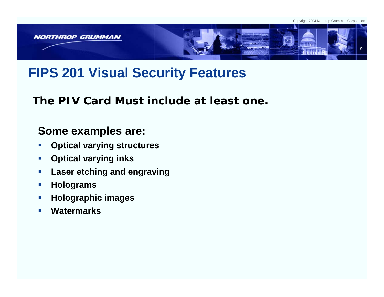



## **FIPS 201 Visual Security Features**

**The PIV Card Must include at least one.**

#### **Some examples are:**

- $\mathcal{L}_{\mathcal{A}}$ **Optical varying structures**
- $\mathcal{L}_{\mathcal{A}}$ **Optical varying inks**
- $\mathcal{L}_{\mathcal{A}}$ **Laser etching and engraving**
- $\mathcal{L}_{\mathcal{A}}$ **Holograms**
- $\mathcal{L}_{\mathcal{A}}$ **Holographic images**
- $\overline{\phantom{a}}$ **Watermarks**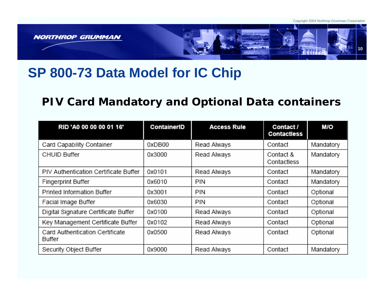

## **SP 800-73 Data Model for IC Chip**

#### **PIV Card Mandatory and Optional Data containers**

| RID 'A0 00 00 00 01 16'                   | <b>ContainerID</b> | <b>Access Rule</b> | Contact /<br>Contactless | M/O       |
|-------------------------------------------|--------------------|--------------------|--------------------------|-----------|
| Card Capability Container                 | 0xDB00             | Read Always        | Contact                  | Mandatory |
| <b>CHUID Buffer</b>                       | 0x3000             | Read Always        | Contact &<br>Contactless | Mandatory |
| PIV Authentication Certificate Buffer     | 0x0101             | Read Always        | Contact                  | Mandatory |
| Fingerprint Buffer                        | 0x6010             | PIN                | Contact                  | Mandatory |
| Printed Information Buffer                | 0x3001             | PIN                | Contact                  | Optional  |
| Facial Image Buffer                       | 0x6030             | PIN                | Contact                  | Optional  |
| Digital Signature Certificate Buffer      | 0x0100             | Read Always        | Contact                  | Optional  |
| Key Management Certificate Buffer         | 0x0102             | Read Always        | Contact                  | Optional  |
| Card Authentication Certificate<br>Buffer | 0x0500             | Read Always        | Contact                  | Optional  |
| Security Object Buffer                    | 0x9000             | Read Always        | Contact                  | Mandatory |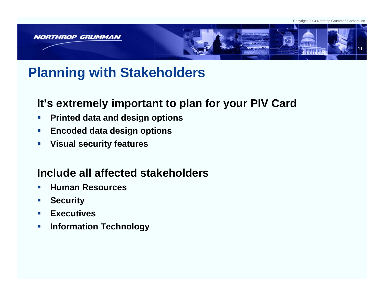

## **Planning with Stakeholders**

#### **It's extremely important to plan for your PIV Card**

- $\mathcal{L}_{\mathcal{A}}$ **Printed data and design options**
- $\mathcal{L}$ **Encoded data design options**
- $\mathcal{A}$ **Visual security features**

#### **Include all affected stakeholders**

- $\mathcal{L}_{\mathcal{A}}$ **Human Resources**
- $\mathcal{L}_{\mathcal{A}}$ **Security**
- $\mathcal{L}_{\mathcal{A}}$ **Executives**
- $\mathcal{C}$ **Information Technology**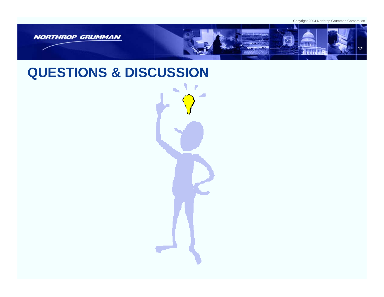

### **QUESTIONS & DISCUSSION**